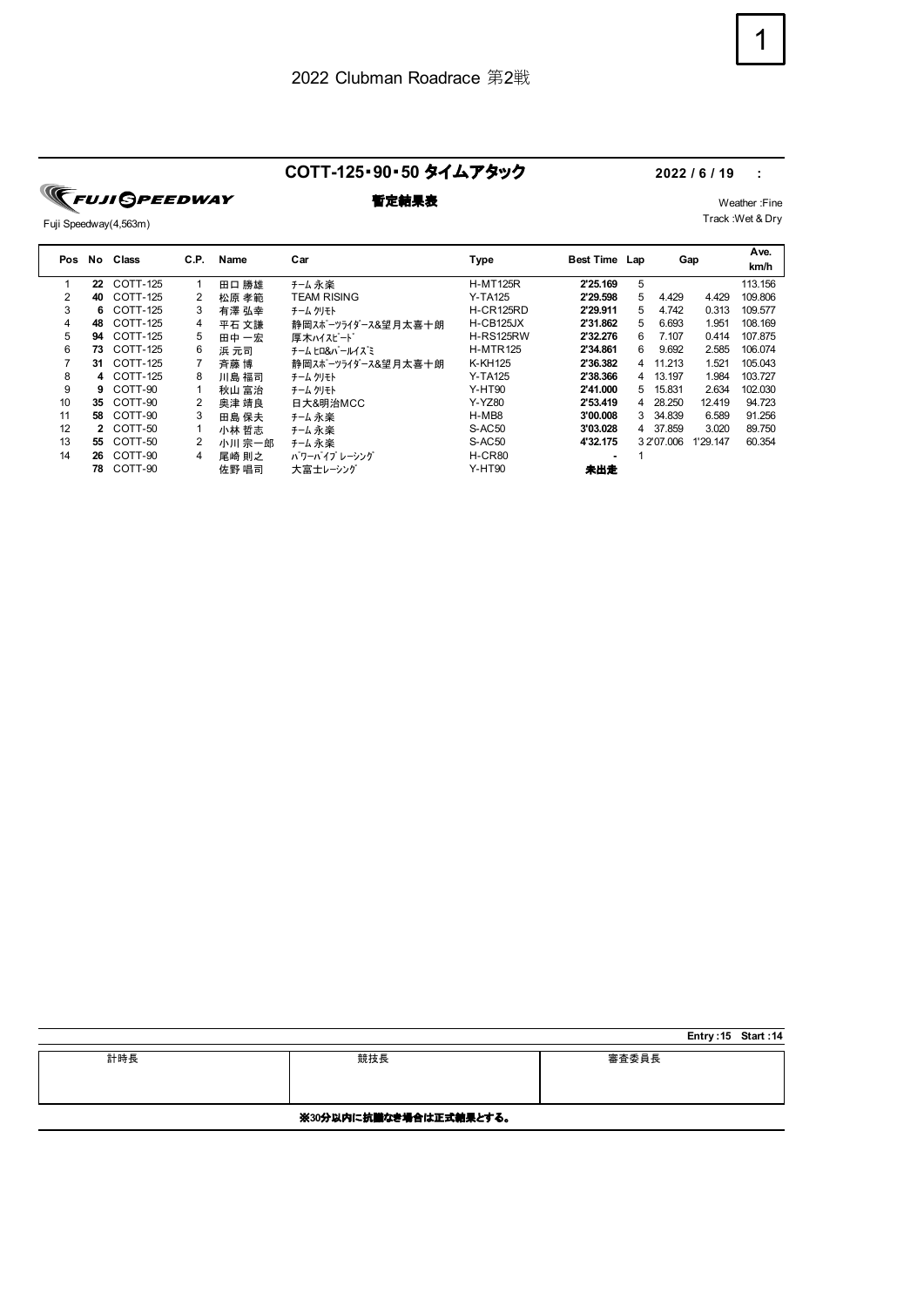### **COTT-125**・**90**・**50** タイムアタック **2022 / 6 / 19 :**

**TEUJI SPEEDWAY** 

## Fuji Speedway(4,563m)

# **暫定結果表** Weather :Fine

Track :Wet & Dry

|    | Pos No | Class      | C.P. | Name   | Car                | Type             | Best Time Lap |   |            | Gap      | Ave.<br>km/h |
|----|--------|------------|------|--------|--------------------|------------------|---------------|---|------------|----------|--------------|
| 1  | 22     | COTT-125   |      | 田口 勝雄  | チーム 永楽             | <b>H-MT125R</b>  | 2'25.169      | 5 |            |          | 113.156      |
| 2  | 40     | COTT-125   | 2    | 松原 孝範  | <b>TEAM RISING</b> | <b>Y-TA125</b>   | 2'29.598      | 5 | 4.429      | 4.429    | 109.806      |
| 3  | 6.     | COTT-125   | 3    | 有澤 弘幸  | チーム クリモト           | <b>H-CR125RD</b> | 2'29.911      | 5 | 4.742      | 0.313    | 109.577      |
| 4  | 48     | COTT-125   | 4    | 平石 文謙  | 静岡スポーツライダース&望月太喜十朗 | H-CB125JX        | 2'31.862      | 5 | 6.693      | 1.951    | 108.169      |
| 5  | 94     | COTT-125   | 5    | 田中 一宏  | 厚木ハイスピード           | H-RS125RW        | 2'32.276      | 6 | 7.107      | 0.414    | 107.875      |
| 6  | 73     | COTT-125   | 6    | 浜 元司   | チーム ヒロ&パールイズミ      | <b>H-MTR125</b>  | 2'34.861      | 6 | 9.692      | 2.585    | 106.074      |
|    | 31.    | COTT-125   |      | 斉藤 博   | 静岡スポーツライダース&望月太喜十朗 | K-KH125          | 2'36.382      | 4 | 11.213     | 1.521    | 105.043      |
| 8  |        | 4 COTT-125 | 8    | 川島 福司  | チーム クリモト           | <b>Y-TA125</b>   | 2'38.366      | 4 | 13.197     | 1.984    | 103.727      |
| 9  | 9.     | COTT-90    |      | 秋山 富治  | チーム クリモト           | <b>Y-HT90</b>    | 2'41.000      | 5 | 15.831     | 2.634    | 102.030      |
| 10 | 35     | COTT-90    |      | 奥津 靖良  | 日大&明治MCC           | Y-YZ80           | 2'53.419      | 4 | 28.250     | 12.419   | 94.723       |
| 11 | 58     | COTT-90    | 3    | 田島 保夫  | チーム 永楽             | H-MB8            | 3'00.008      | 3 | 34.839     | 6.589    | 91.256       |
| 12 | 2      | COTT-50    |      | 小林 哲志  | チーム 永楽             | S-AC50           | 3'03.028      | 4 | 37.859     | 3.020    | 89.750       |
| 13 | 55     | COTT-50    | 2    | 小川 宗一郎 | チーム永楽              | S-AC50           | 4'32.175      |   | 3 2'07.006 | 1'29.147 | 60.354       |
| 14 | 26     | COTT-90    | 4    | 尾崎 則之  | パワーパイプ レーシング       | H-CR80           |               |   |            |          |              |
|    | 78     | COTT-90    |      | 佐野 唱司  | 大富士レーシング           | <b>Y-HT90</b>    | 未出走           |   |            |          |              |

|     |                        |       | Entry: 15 Start: 14 |  |
|-----|------------------------|-------|---------------------|--|
| 計時長 | 競技長                    | 審査委員長 |                     |  |
|     | ※30分以内に抗議なき場合は正式結果とする。 |       |                     |  |

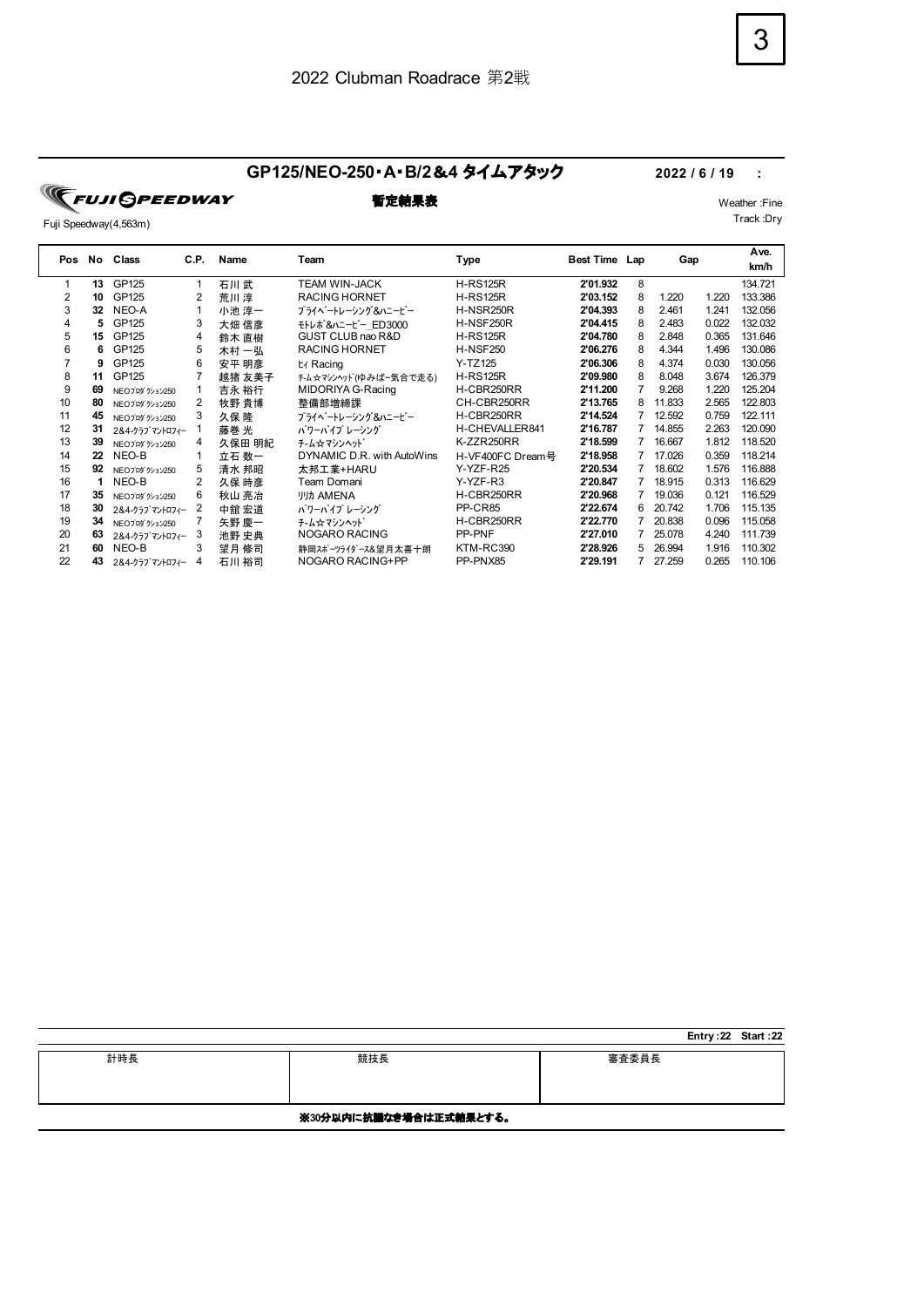### **GP125/NEO-250**・**A**・**B/2**&**4** タイムアタック **2022 / 6 / 19 :**

**FUJI SPEEDWAY** 

Fuji Speedway(4,563m)

| Pos | No | Class          | C.P. | Name   | Team                       | Type             | Best Time Lap |   | Gap    |       | Ave.<br>km/h |
|-----|----|----------------|------|--------|----------------------------|------------------|---------------|---|--------|-------|--------------|
|     | 13 | GP125          |      | 石川武    | <b>TEAM WIN-JACK</b>       | <b>H-RS125R</b>  | 2'01.932      | 8 |        |       | 134.721      |
| 2   | 10 | GP125          | 2    | 荒川淳    | <b>RACING HORNET</b>       | <b>H-RS125R</b>  | 2'03.152      | 8 | 1.220  | 1.220 | 133.386      |
| 3   | 32 | NEO-A          |      | 小池 淳一  | プライベートレーシング&ハニービー          | <b>H-NSR250R</b> | 2'04.393      | 8 | 2.461  | 1.241 | 132.056      |
| 4   | 5  | GP125          | 3    | 大畑 信彦  | モトレポ &ハニービー ED3000         | H-NSF250R        | 2'04.415      | 8 | 2.483  | 0.022 | 132.032      |
| 5   | 15 | GP125          | 4    | 鈴木 直樹  | GUST CLUB nao R&D          | <b>H-RS125R</b>  | 2'04.780      | 8 | 2.848  | 0.365 | 131.646      |
| 6   | 6  | GP125          | 5    | 木村 一弘  | <b>RACING HORNET</b>       | <b>H-NSF250</b>  | 2'06.276      | 8 | 4.344  | 1.496 | 130.086      |
|     | 9  | GP125          | 6    | 安平 明彦  | t∡ Racing                  | Y-TZ125          | 2'06.306      | 8 | 4.374  | 0.030 | 130.056      |
| 8   | 11 | GP125          |      | 越猪 友美子 | チーム☆マシンヘッド(ゆみば~気合で走る)      | <b>H-RS125R</b>  | 2'09.980      | 8 | 8.048  | 3.674 | 126.379      |
| 9   | 69 | NEOプロダ クション250 |      | 吉永 裕行  | MIDORIYA G-Racing          | H-CBR250RR       | 2'11.200      |   | 9.268  | 1.220 | 125.204      |
| 10  | 80 | NEOプロダ クション250 | 2    | 牧野 貴博  | 整備部増締課                     | CH-CBR250RR      | 2'13.765      | 8 | 11.833 | 2.565 | 122.803      |
| 11  | 45 | NEOプロダ クション250 | 3    | 久保隆    | プライベートレーシング&ハニービー          | H-CBR250RR       | 2'14.524      |   | 12.592 | 0.759 | 122.111      |
| 12  | 31 | 2&4-クラブマントロフィー |      | 藤巻 光   | パワーパイプ レーシング               | H-CHEVALLER841   | 2'16.787      |   | 14.855 | 2.263 | 120.090      |
| 13  | 39 | NEOプロダ クション250 | 4    | 久保田 明紀 | チーム☆マシンヘット                 | K-ZZR250RR       | 2'18.599      | 7 | 16.667 | 1.812 | 118.520      |
| 14  | 22 | NEO-B          |      | 立石 数一  | DYNAMIC D.R. with AutoWins | H-VF400FC Dream号 | 2'18.958      |   | 17.026 | 0.359 | 118.214      |
| 15  | 92 | NEOプロダ ゲション250 | 5    | 清水 邦昭  | 太邦工業+HARU                  | Y-YZF-R25        | 2'20.534      | 7 | 18.602 | 1.576 | 116.888      |
| 16  | 1  | NEO-B          | 2    | 久保 時彦  | Team Domani                | Y-YZF-R3         | 2'20.847      | 7 | 18.915 | 0.313 | 116.629      |
| 17  | 35 | NEOプロダ クション250 | 6    | 秋山 亮冶  | <b>川力 AMENA</b>            | H-CBR250RR       | 2'20.968      | 7 | 19.036 | 0.121 | 116.529      |
| 18  | 30 | 2&4-クラブマントロフィー | 2    | 中舘 宏道  | パワーパイプ レーシング               | PP-CR85          | 2'22.674      | 6 | 20.742 | 1.706 | 115.135      |
| 19  | 34 | NEOプロダ クション250 |      | 矢野 慶一  | チーム☆マシンヘット                 | H-CBR250RR       | 2'22.770      |   | 20.838 | 0.096 | 115.058      |
| 20  | 63 | 2&4-クラブマントロフィー | 3    | 池野 史典  | NOGARO RACING              | PP-PNF           | 2'27.010      |   | 25.078 | 4.240 | 111.739      |
| 21  | 60 | NEO-B          | 3    | 望月 修司  | 静岡スポーツライダース&望月太喜十朗         | KTM-RC390        | 2'28.926      | 5 | 26.994 | 1.916 | 110.302      |
| 22  | 43 | 2&4-クラブマントロフィー | 4    | 石川 裕司  | NOGARO RACING+PP           | PP-PNX85         | 2'29.191      |   | 27.259 | 0.265 | 110.106      |

|     |                        |       | Entry: 22 Start: 22 |
|-----|------------------------|-------|---------------------|
| 計時長 | 競技長                    | 審査委員長 |                     |
|     | ※30分以内に抗議なき場合は正式結果とする。 |       |                     |



### **暫定結果表** Weather :Fine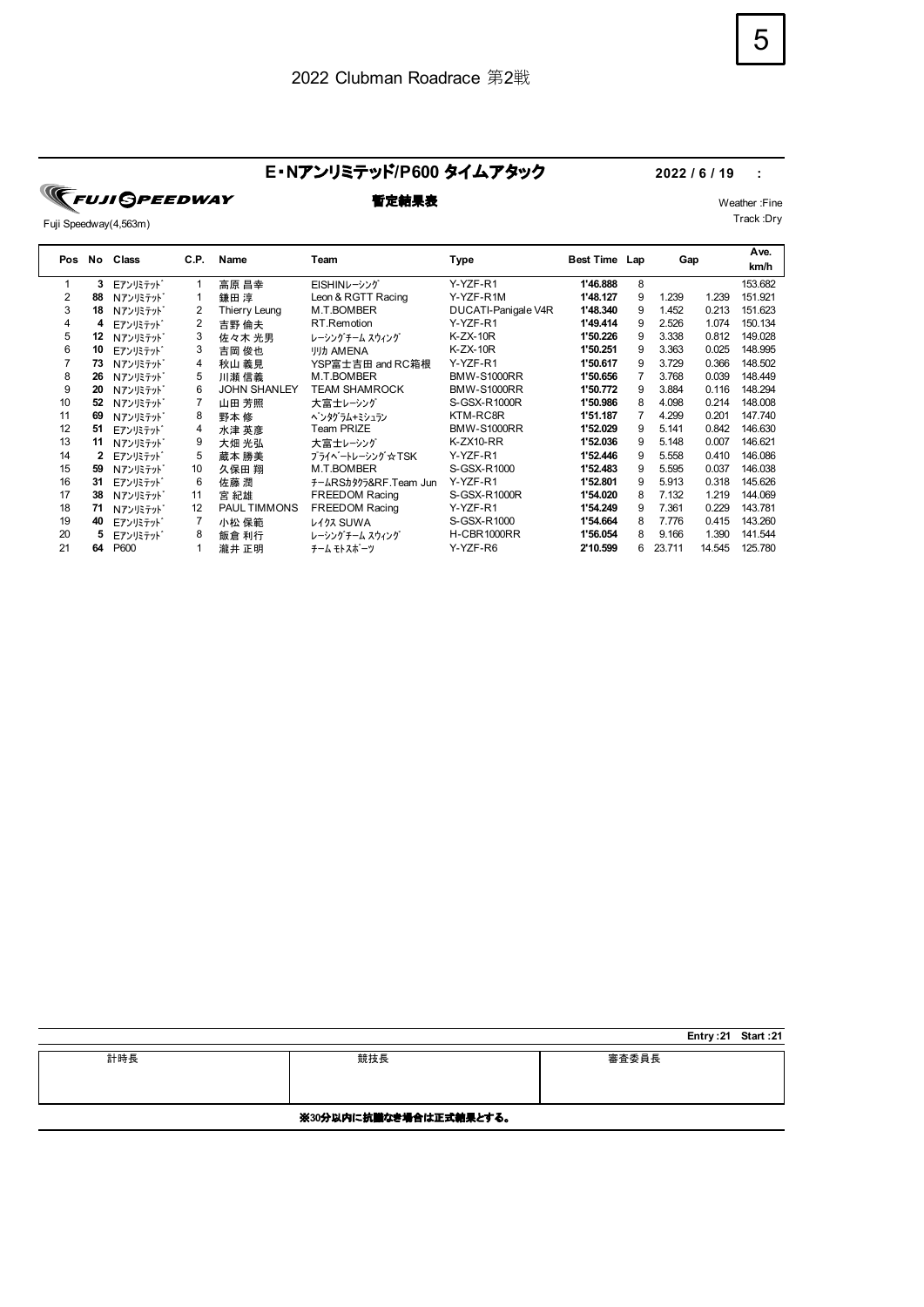### E·Nアンリミテッド/P600 タイムアタック 2022 / 6 / 19 :

**TEUJI GPEEDWAY** 

Fuji Speedway(4,563m)

**暫定結果表** Weather :Fine Track :Dry

|     |    |                       |      |                     |                       |                     |               |   |        |        | Ave.    |
|-----|----|-----------------------|------|---------------------|-----------------------|---------------------|---------------|---|--------|--------|---------|
| Pos | No | Class                 | C.P. | Name                | Team                  | Type                | Best Time Lap |   | Gap    |        | km/h    |
| 1   | 3  | Eアンリミテット              |      | 高原 昌幸               | EISHINレーシング           | Y-YZF-R1            | 1'46.888      | 8 |        |        | 153.682 |
| 2   | 88 | Nアンリミテット              |      | 鎌田 淳                | Leon & RGTT Racing    | Y-YZF-R1M           | 1'48.127      | 9 | 1.239  | 1.239  | 151.921 |
| 3   | 18 | <b>Nアンリミテット</b>       | 2    | Thierry Leung       | M.T.BOMBER            | DUCATI-Panigale V4R | 1'48.340      | 9 | 1.452  | 0.213  | 151.623 |
| 4   | 4  | Eアンリミテット <sup>*</sup> | 2    | 吉野 倫夫               | RT.Remotion           | Y-YZF-R1            | 1'49.414      | 9 | 2.526  | 1.074  | 150.134 |
| 5   | 12 | Nアンリミテット              | 3    | 佐々木 光男              | レーシングチーム スウィング        | $K-ZX-10R$          | 1'50.226      | 9 | 3.338  | 0.812  | 149.028 |
| 6   | 10 | Eアンリミテット              | 3    | 吉岡 俊也               | <b>リリカ AMENA</b>      | $K-ZX-10R$          | 1'50.251      | 9 | 3.363  | 0.025  | 148.995 |
|     | 73 | Nアンリミテット              | 4    | 秋山 義見               | YSP富士吉田 and RC箱根      | Y-YZF-R1            | 1'50.617      | 9 | 3.729  | 0.366  | 148.502 |
| 8   | 26 | <b>Nアンリミテット</b>       | 5    | 川瀬 信義               | M.T.BOMBER            | <b>BMW-S1000RR</b>  | 1'50.656      | 7 | 3.768  | 0.039  | 148.449 |
| 9   | 20 | Nアンリミテット              | 6    | <b>JOHN SHANLEY</b> | <b>TEAM SHAMROCK</b>  | <b>BMW-S1000RR</b>  | 1'50.772      | 9 | 3.884  | 0.116  | 148.294 |
| 10  | 52 | Nアンリミテット              |      | 山田 芳照               | 大富士レーシング              | S-GSX-R1000R        | 1'50.986      | 8 | 4.098  | 0.214  | 148.008 |
| 11  | 69 | <b>Nアンリミテット</b>       | 8    | 野本 修                | ペンタグラム+ミシュラン          | KTM-RC8R            | 1'51.187      |   | 4.299  | 0.201  | 147.740 |
| 12  | 51 | Eアンリミテット              | 4    | 水津 英彦               | Team PRIZE            | <b>BMW-S1000RR</b>  | 1'52.029      | 9 | 5.141  | 0.842  | 146.630 |
| 13  | 11 | Nアンリミテット              | 9    | 大畑 光弘               | 大富士レーシング              | K-ZX10-RR           | 1'52.036      | 9 | 5.148  | 0.007  | 146.621 |
| 14  |    | Eアンリミテット <sup>*</sup> | 5    | 蔵本 勝美               | プライベートレーシング☆TSK       | Y-YZF-R1            | 1'52.446      | 9 | 5.558  | 0.410  | 146.086 |
| 15  | 59 | Nアンリミテット              | 10   | 久保田 翔               | M.T.BOMBER            | S-GSX-R1000         | 1'52.483      | 9 | 5.595  | 0.037  | 146.038 |
| 16  | 31 | Eアンリミテット              | 6    | 佐藤 潤                | チームRSカタクラ&RF.Team Jun | Y-YZF-R1            | 1'52.801      | 9 | 5.913  | 0.318  | 145.626 |
| 17  | 38 | Nアンリミテット              | 11   | 宮 紀雄                | <b>FREEDOM Racing</b> | S-GSX-R1000R        | 1'54.020      | 8 | 7.132  | 1.219  | 144.069 |
| 18  | 71 | <b>Nアンリミテット</b>       | 12   | <b>PAUL TIMMONS</b> | <b>FREEDOM Racing</b> | Y-YZF-R1            | 1'54.249      | 9 | 7.361  | 0.229  | 143.781 |
| 19  | 40 | Eアンリミテット              |      | 小松 保範               | <b>L473 SUWA</b>      | S-GSX-R1000         | 1'54.664      | 8 | 7.776  | 0.415  | 143.260 |
| 20  |    | Eアンリミテット              | 8    | 飯倉 利行               | レーシングチーム スウィング        | H-CBR1000RR         | 1'56.054      | 8 | 9.166  | 1.390  | 141.544 |
| 21  | 64 | P600                  |      | 瀧井 正明               | チーム モトスポーツ            | Y-YZF-R6            | 2'10.599      | 6 | 23.711 | 14.545 | 125.780 |
|     |    |                       |      |                     |                       |                     |               |   |        |        |         |

|     |                        |       | Entry: 21 Start: 21 |  |
|-----|------------------------|-------|---------------------|--|
| 計時長 | 競技長                    | 審査委員長 |                     |  |
|     | ※30分以内に抗議なき場合は正式結果とする。 |       |                     |  |

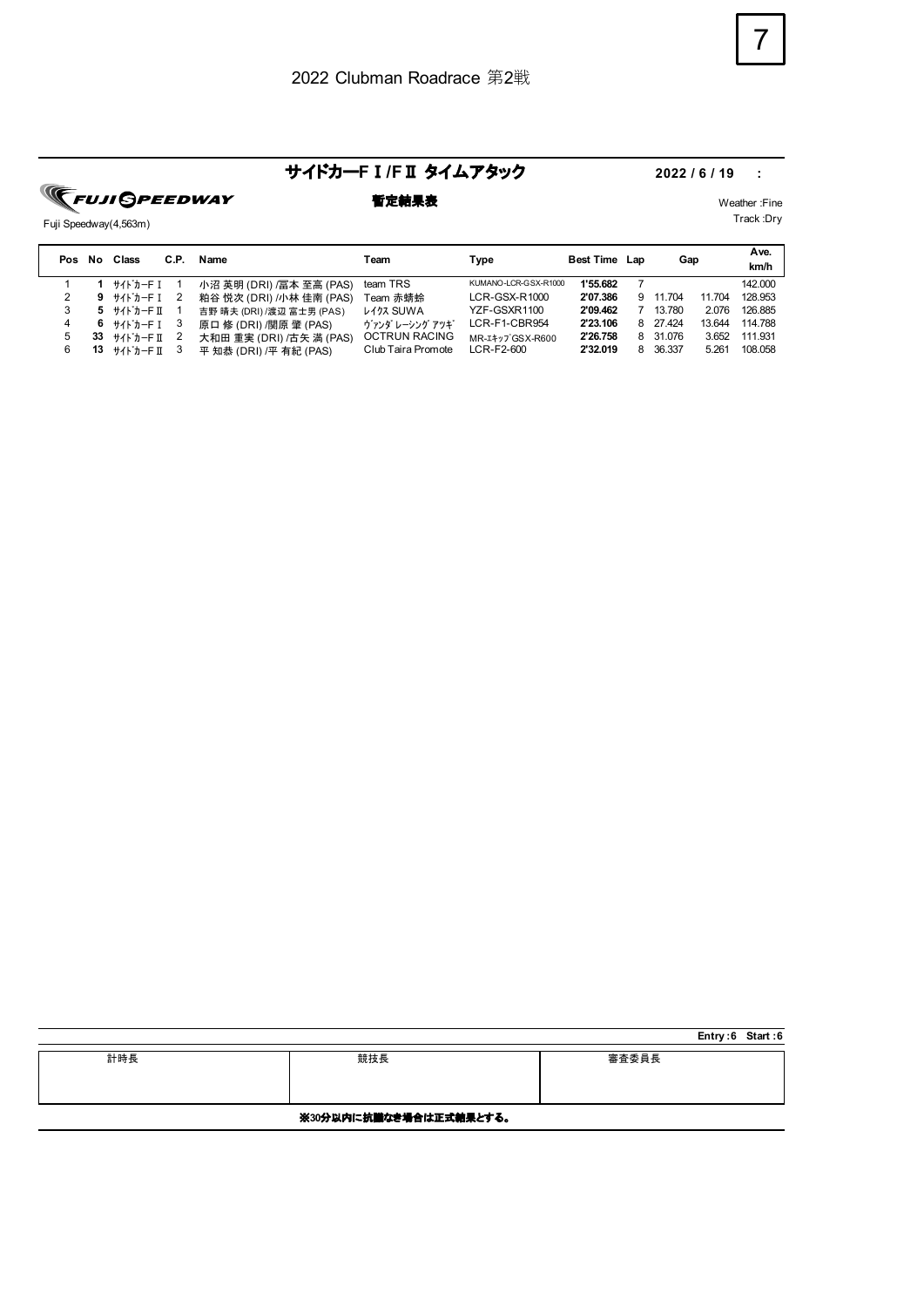### サイドカー**F**Ⅰ**/F**Ⅱ タイムアタック **2022 / 6 / 19 :**

**TEUJI GPEEDWAY** 

Fuji Speedway(4,563m)

| 暫定結果表 |  | Weather:Fine |
|-------|--|--------------|

| Pos | No | Class                                                          | C.P. | Name                      | Team                 | Type                 | Best Time Lap |   | Gap      |        | Ave.<br>km/h |
|-----|----|----------------------------------------------------------------|------|---------------------------|----------------------|----------------------|---------------|---|----------|--------|--------------|
|     |    | サイドカーFI                                                        |      | 小沼 英明 (DRI) /冨本 至高 (PAS)  | team TRS             | KUMANO-LCR-GSX-R1000 | 1'55.682      |   |          |        | 142.000      |
|     | 9  |                                                                |      | 粕谷 悦次 (DRI) /小林 佳南 (PAS)  | Team 赤蜻蛉             | $LCR-GSX-R1000$      | 2'07.386      | 9 | 11 704   | 11.704 | 128.953      |
|     |    | $5$ $\text{H}$ <sup>+</sup> $\text{H}$ <sup>+</sup> $\text{H}$ |      | 吉野 晴夫 (DRI) /渡辺 富士男 (PAS) | <b>L477 SUWA</b>     | YZF-GSXR1100         | 2'09.462      |   | 13.780   | 2.076  | 126.885      |
|     | 6. | ++/k'+-FT 3                                                    |      | 原口 修 (DRI) /関原 肇 (PAS)    | ヴァンダ レーシング アツギ       | LCR-F1-CBR954        | 2'23.106      | 8 | 27.424   | 13.644 | 114.788      |
| 5   | 33 | サイト゛カーF Ⅱ                                                      |      | 大和田 重実 (DRI) /古矢 満 (PAS)  | <b>OCTRUN RACING</b> | MR-I+y7 GSX-R600     | 2'26.758      |   | 8 31.076 | 3.652  | 111.931      |
|     | 13 | サイト゛カーF Ⅱ                                                      |      | 平 知恭 (DRI) /平 有紀 (PAS)    | Club Taira Promote   | LCR-F2-600           | 2'32.019      | 8 | 36.337   | 5.261  | 108.058      |

|     |                        |       | Entry:6 Start:6 |  |
|-----|------------------------|-------|-----------------|--|
| 計時長 | 競技長                    | 審査委員長 |                 |  |
|     |                        |       |                 |  |
|     |                        |       |                 |  |
|     |                        |       |                 |  |
|     | ※30分以内に抗議なき場合は正式結果とする。 |       |                 |  |

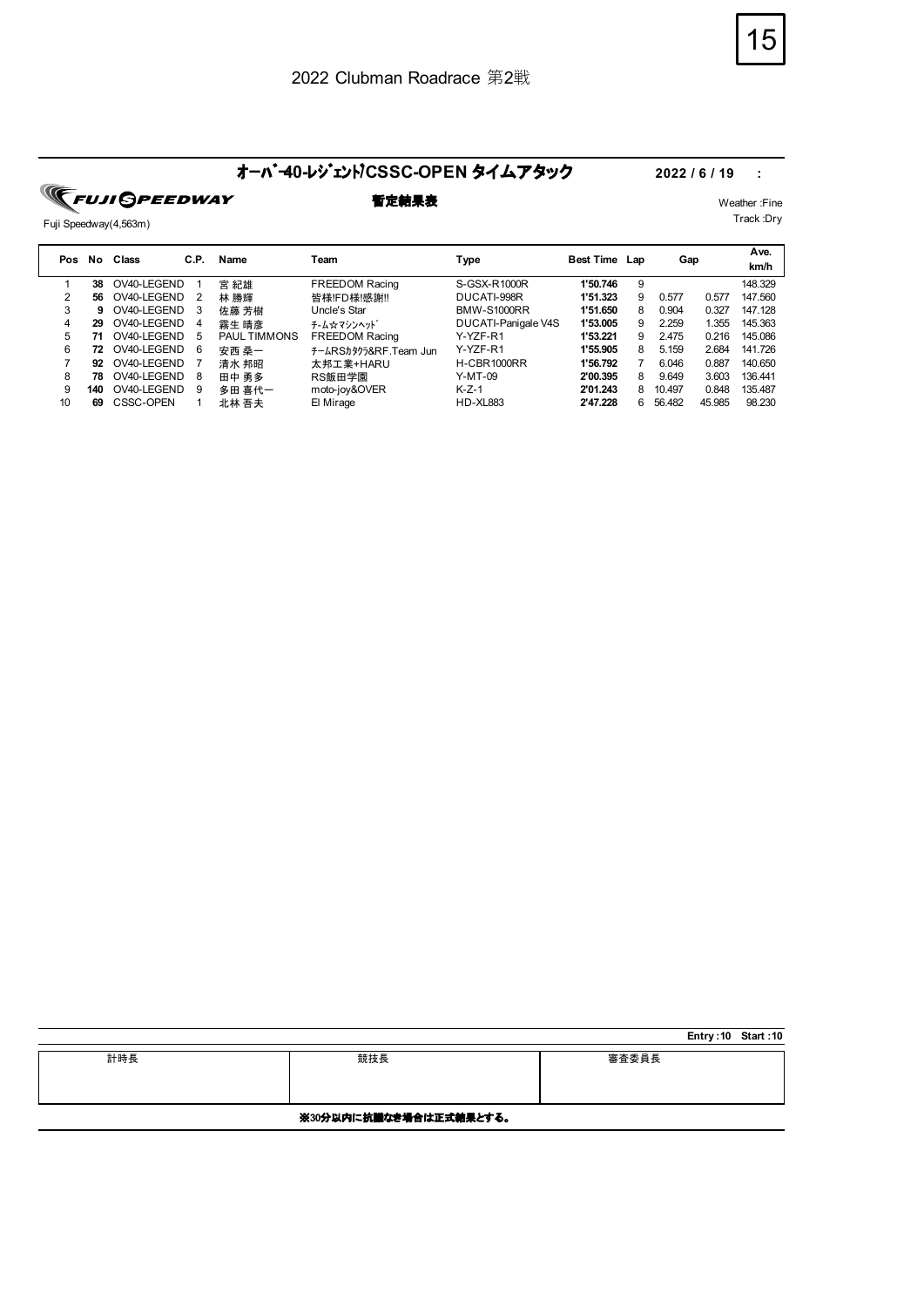# オーバ<sup>・</sup>40-レジェント/CSSC-OPEN タイムアタック 2022 / 6 / 19 :<br>
■定結果表 <sub>Weather:F</sub>

Fuji Speedway(4,563m)

**暫定結果表** Weather :Fine

| Pos | No. | Class       | C.P. | Name                | Team                  | Type                | <b>Best Time Lap</b> |   | Gap    |        | Ave.<br>km/h |
|-----|-----|-------------|------|---------------------|-----------------------|---------------------|----------------------|---|--------|--------|--------------|
|     | 38  | OV40-LEGEND |      | 宮 紀雄                | <b>FREEDOM Racing</b> | S-GSX-R1000R        | 1'50.746             | 9 |        |        | 148.329      |
|     | 56  | OV40-LEGEND | 2    | 林 勝輝                | 皆様!FD様!感謝!!           | DUCATI-998R         | 1'51.323             | 9 | 0.577  | 0.577  | 147.560      |
| 3   | 9   | OV40-LEGEND | 3    | 佐藤 芳樹               | Uncle's Star          | <b>BMW-S1000RR</b>  | 1'51.650             | 8 | 0.904  | 0.327  | 147.128      |
| 4   | 29  | OV40-LEGEND | 4    | 霧生 晴彦               | チ-ム☆マシンヘット゛           | DUCATI-Panigale V4S | 1'53.005             | 9 | 2.259  | 1.355  | 145.363      |
| 5.  |     | OV40-LEGEND | 5    | <b>PAUL TIMMONS</b> | <b>FREEDOM Racing</b> | Y-YZF-R1            | 1'53.221             | 9 | 2.475  | 0.216  | 145.086      |
| 6   | 72  | OV40-LEGEND | 6    | 安西 桑一               | チームRSカタクラ&RF.Team Jun | Y-YZF-R1            | 1'55.905             | 8 | 5.159  | 2.684  | 141.726      |
|     | 92  | OV40-LEGEND |      | 清水 邦昭               | 太邦工業+HARU             | <b>H-CBR1000RR</b>  | 1'56.792             |   | 6.046  | 0.887  | 140.650      |
| 8   | 78  | OV40-LEGEND | 8    | 田中 勇多               | RS飯田学園                | Y-MT-09             | 2'00.395             | 8 | 9.649  | 3.603  | 136.441      |
| 9   | 140 | OV40-LEGEND | 9    | 多田 喜代一              | moto-joy&OVER         | $K-Z-1$             | 2'01.243             | 8 | 10.497 | 0.848  | 135.487      |
| 10  | 69  | CSSC-OPEN   |      | 北林 吾夫               | El Mirage             | <b>HD-XL883</b>     | 2'47.228             | 6 | 56.482 | 45.985 | 98.230       |

|     |                        |       | Entry: 10 Start: 10 |  |
|-----|------------------------|-------|---------------------|--|
| 計時長 | 競技長                    | 審査委員長 |                     |  |
|     | ※30分以内に抗議なき場合は正式結果とする。 |       |                     |  |